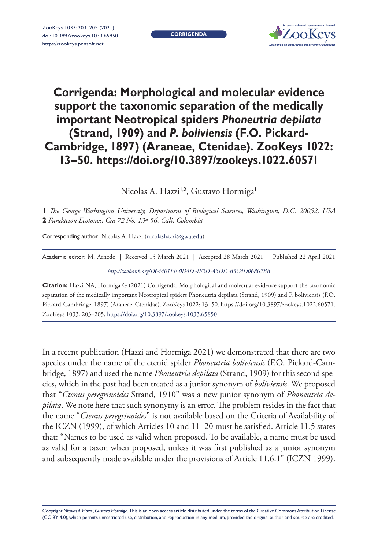**CORRIGENDA**



## **Corrigenda: Morphological and molecular evidence support the taxonomic separation of the medically important Neotropical spiders** *Phoneutria depilata* **(Strand, 1909) and** *P. boliviensis* **(F.O. Pickard-Cambridge, 1897) (Araneae, Ctenidae). ZooKeys 1022: 13–50.<https://doi.org/10.3897/zookeys.1022.60571>**

Nicolas A. Hazzi<sup>1,2</sup>, Gustavo Hormiga<sup>1</sup>

**1** *The George Washington University, Department of Biological Sciences, Washington, D.C. 20052, USA*  **2** *Fundación Ecotonos, Cra 72 No. 13ª-56, Cali, Colombia*

Corresponding author: Nicolas A. Hazzi ([nicolashazzi@gwu.edu\)](mailto:nicolashazzi@gwu.edu)

| Academic editor: M. Arnedo   Received 15 March 2021   Accepted 28 March 2021   Published 22 April 2021 |  |
|--------------------------------------------------------------------------------------------------------|--|
| http://zoobank.org/D64401FF-0D4D-4F2D-A3DD-B3C4D06867BB                                                |  |

**Citation:** Hazzi NA, Hormiga G (2021) Corrigenda: Morphological and molecular evidence support the taxonomic separation of the medically important Neotropical spiders Phoneutria depilata (Strand, 1909) and P. boliviensis (F.O. Pickard-Cambridge, 1897) (Araneae, Ctenidae). ZooKeys 1022: 13–50.<https://doi.org/10.3897/zookeys.1022.60571>. ZooKeys 1033: 203–205.<https://doi.org/10.3897/zookeys.1033.65850>

In a recent publication (Hazzi and Hormiga 2021) we demonstrated that there are two species under the name of the ctenid spider *Phoneutria boliviensis* (F.O. Pickard-Cambridge, 1897) and used the name *Phoneutria depilata* (Strand, 1909) for this second species, which in the past had been treated as a junior synonym of *boliviensis*. We proposed that "*Ctenus peregrinoides* Strand, 1910" was a new junior synonym of *Phoneutria depilata*. We note here that such synonymy is an error. The problem resides in the fact that the name "*Ctenus peregrinoides*" is not available based on the Criteria of Availability of the ICZN (1999), of which Articles 10 and 11–20 must be satisfied. Article 11.5 states that: "Names to be used as valid when proposed. To be available, a name must be used as valid for a taxon when proposed, unless it was first published as a junior synonym and subsequently made available under the provisions of Article 11.6.1" (ICZN 1999).

Copyright *Nicolas A. Hazzi, Gustavo Hormiga.* This is an open access article distributed under the terms of the [Creative Commons Attribution License](http://creativecommons.org/licenses/by/4.0/)  [\(CC BY 4.0\)](http://creativecommons.org/licenses/by/4.0/), which permits unrestricted use, distribution, and reproduction in any medium, provided the original author and source are credited.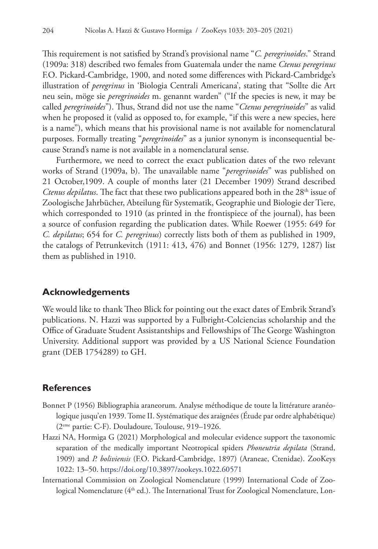This requirement is not satisfied by Strand's provisional name "*C. peregrinoides*." Strand (1909a: 318) described two females from Guatemala under the name *Ctenus peregrinus* F.O. Pickard-Cambridge, 1900, and noted some differences with Pickard-Cambridge's illustration of *peregrinus* in 'Biologia Centrali Americana', stating that "Sollte die Art neu sein, möge sie *peregrinoides* m. genannt warden" ("If the species is new, it may be called *peregrinoides*"). Thus, Strand did not use the name "*Ctenus peregrinoides*" as valid when he proposed it (valid as opposed to, for example, "if this were a new species, here is a name"), which means that his provisional name is not available for nomenclatural purposes. Formally treating "*peregrinoides*" as a junior synonym is inconsequential because Strand's name is not available in a nomenclatural sense.

Furthermore, we need to correct the exact publication dates of the two relevant works of Strand (1909a, b). The unavailable name "*peregrinoides*" was published on 21 October,1909. A couple of months later (21 December 1909) Strand described *Ctenus depilatus*. The fact that these two publications appeared both in the 28<sup>th</sup> issue of Zoologische Jahrbücher, Abteilung für Systematik, Geographie und Biologie der Tiere, which corresponded to 1910 (as printed in the frontispiece of the journal), has been a source of confusion regarding the publication dates. While Roewer (1955: 649 for *C. depilatus*; 654 for *C. peregrinus*) correctly lists both of them as published in 1909, the catalogs of Petrunkevitch (1911: 413, 476) and Bonnet (1956: 1279, 1287) list them as published in 1910.

## **Acknowledgements**

We would like to thank Theo Blick for pointing out the exact dates of Embrik Strand's publications. N. Hazzi was supported by a Fulbright-Colciencias scholarship and the Office of Graduate Student Assistantships and Fellowships of The George Washington University. Additional support was provided by a US National Science Foundation grant (DEB 1754289) to GH.

## **References**

- Bonnet P (1956) Bibliographia araneorum. Analyse méthodique de toute la littérature aranéologique jusqu'en 1939. Tome II. Systématique des araignées (Étude par ordre alphabétique) (2eme partie: C-F). Douladoure, Toulouse, 919–1926.
- Hazzi NA, Hormiga G (2021) Morphological and molecular evidence support the taxonomic separation of the medically important Neotropical spiders *Phoneutria depilata* (Strand, 1909) and *P. boliviensis* (F.O. Pickard-Cambridge, 1897) (Araneae, Ctenidae). ZooKeys 1022: 13–50.<https://doi.org/10.3897/zookeys.1022.60571>
- International Commission on Zoological Nomenclature (1999) International Code of Zoological Nomenclature (4<sup>th</sup> ed.). The International Trust for Zoological Nomenclature, Lon-